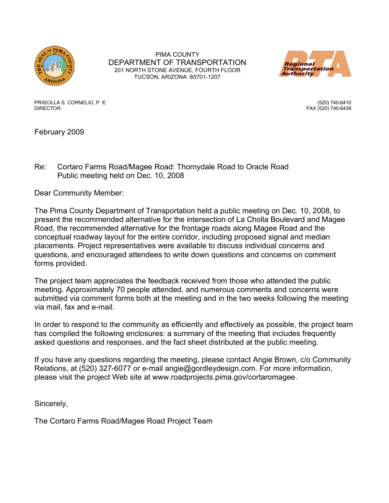

PIMA COUNTY DEPARTMENT OF TRANSPORTATION 201 NORTH STONE AVENUE, FOURTH FLOOR TUCSON, ARIZONA 85701-1207



PRISCILLA S. CORNELIO, P. E. (520) 740-6410 DIRECTOR FAX (520) 740-6439

February 2009

Re: Cortaro Farms Road/Magee Road: Thornydale Road to Oracle Road Public meeting held on Dec. 10, 2008

Dear Community Member:

The Pima County Department of Transportation held a public meeting on Dec. 10, 2008, to present the recommended alternative for the intersection of La Cholla Boulevard and Magee Road, the recommended alternative for the frontage roads along Magee Road and the conceptual roadway layout for the entire corridor, including proposed signal and median placements. Project representatives were available to discuss individual concerns and questions, and encouraged attendees to write down questions and concerns on comment forms provided.

The project team appreciates the feedback received from those who attended the public meeting. Approximately 70 people attended, and numerous comments and concerns were submitted via comment forms both at the meeting and in the two weeks following the meeting via mail, fax and e-mail.

In order to respond to the community as efficiently and effectively as possible, the project team has compiled the following enclosures: a summary of the meeting that includes frequently asked questions and responses, and the fact sheet distributed at the public meeting.

If you have any questions regarding the meeting, please contact Angie Brown, c/o Community Relations, at (520) 327-6077 or e-mail angie@gordleydesign.com. For more information, please visit the project Web site at www.roadprojects.pima.gov/cortaromagee.

Sincerely,

The Cortaro Farms Road/Magee Road Project Team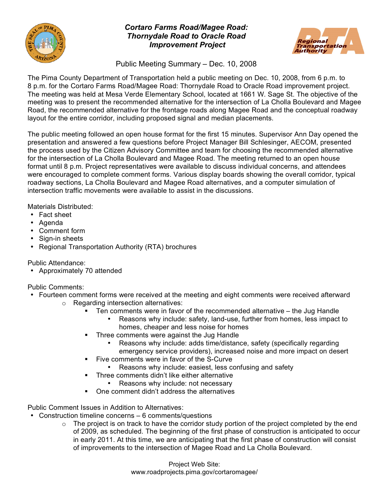

# *Cortaro Farms Road/Magee Road: Thornydale Road to Oracle Road Improvement Project*



Public Meeting Summary – Dec. 10, 2008

The Pima County Department of Transportation held a public meeting on Dec. 10, 2008, from 6 p.m. to 8 p.m. for the Cortaro Farms Road/Magee Road: Thornydale Road to Oracle Road improvement project. The meeting was held at Mesa Verde Elementary School, located at 1661 W. Sage St. The objective of the meeting was to present the recommended alternative for the intersection of La Cholla Boulevard and Magee Road, the recommended alternative for the frontage roads along Magee Road and the conceptual roadway layout for the entire corridor, including proposed signal and median placements.

The public meeting followed an open house format for the first 15 minutes. Supervisor Ann Day opened the presentation and answered a few questions before Project Manager Bill Schlesinger, AECOM, presented the process used by the Citizen Advisory Committee and team for choosing the recommended alternative for the intersection of La Cholla Boulevard and Magee Road. The meeting returned to an open house format until 8 p.m. Project representatives were available to discuss individual concerns, and attendees were encouraged to complete comment forms. Various display boards showing the overall corridor, typical roadway sections, La Cholla Boulevard and Magee Road alternatives, and a computer simulation of intersection traffic movements were available to assist in the discussions.

Materials Distributed:

- Fact sheet
- Agenda
- Comment form
- Sign-in sheets
- Regional Transportation Authority (RTA) brochures

Public Attendance:

• Approximately 70 attended

Public Comments:

- Fourteen comment forms were received at the meeting and eight comments were received afterward
	- o Regarding intersection alternatives:
		- Ten comments were in favor of the recommended alternative the Jug Handle
			- Reasons why include: safety, land-use, further from homes, less impact to homes, cheaper and less noise for homes
		- Three comments were against the Jug Handle
			- Reasons why include: adds time/distance, safety (specifically regarding emergency service providers), increased noise and more impact on desert
		- Five comments were in favor of the S-Curve
			- Reasons why include: easiest, less confusing and safety
		- **Three comments didn't like either alternative** 
			- Reasons why include: not necessary
		- One comment didn't address the alternatives

Public Comment Issues in Addition to Alternatives:

- Construction timeline concerns 6 comments/questions
	- $\circ$  The project is on track to have the corridor study portion of the project completed by the end of 2009, as scheduled. The beginning of the first phase of construction is anticipated to occur in early 2011. At this time, we are anticipating that the first phase of construction will consist of improvements to the intersection of Magee Road and La Cholla Boulevard.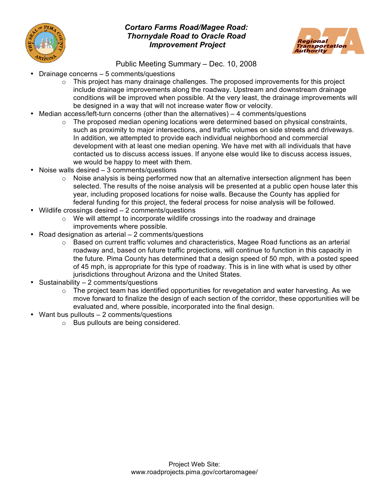

# *Cortaro Farms Road/Magee Road: Thornydale Road to Oracle Road Improvement Project*



Public Meeting Summary – Dec. 10, 2008

- Drainage concerns 5 comments/questions
	- $\circ$  This project has many drainage challenges. The proposed improvements for this project include drainage improvements along the roadway. Upstream and downstream drainage conditions will be improved when possible. At the very least, the drainage improvements will be designed in a way that will not increase water flow or velocity.
- Median access/left-turn concerns (other than the alternatives)  $-4$  comments/questions
	- $\circ$  The proposed median opening locations were determined based on physical constraints, such as proximity to major intersections, and traffic volumes on side streets and driveways. In addition, we attempted to provide each individual neighborhood and commercial development with at least one median opening. We have met with all individuals that have contacted us to discuss access issues. If anyone else would like to discuss access issues, we would be happy to meet with them.
- Noise walls desired 3 comments/questions
	- o Noise analysis is being performed now that an alternative intersection alignment has been selected. The results of the noise analysis will be presented at a public open house later this year, including proposed locations for noise walls. Because the County has applied for federal funding for this project, the federal process for noise analysis will be followed.
- Wildlife crossings desired 2 comments/questions
	- $\circ$  We will attempt to incorporate wildlife crossings into the roadway and drainage improvements where possible.
- Road designation as arterial 2 comments/questions
	- $\circ$  Based on current traffic volumes and characteristics, Magee Road functions as an arterial roadway and, based on future traffic projections, will continue to function in this capacity in the future. Pima County has determined that a design speed of 50 mph, with a posted speed of 45 mph, is appropriate for this type of roadway. This is in line with what is used by other jurisdictions throughout Arizona and the United States.
- Sustainability 2 comments/questions
	- $\circ$  The project team has identified opportunities for revegetation and water harvesting. As we move forward to finalize the design of each section of the corridor, these opportunities will be evaluated and, where possible, incorporated into the final design.
- Want bus pullouts 2 comments/questions
	- o Bus pullouts are being considered.